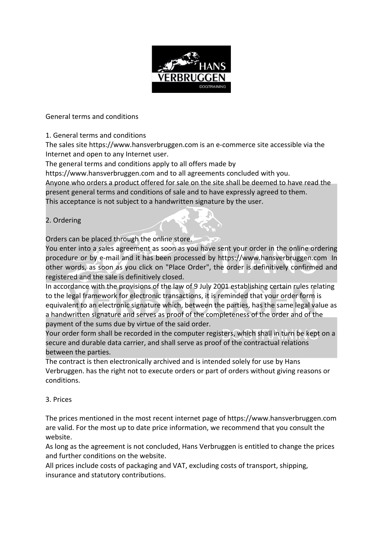

General terms and conditions

1. General terms and conditions

The sales site https://www.hansverbruggen.com is an e-commerce site accessible via the Internet and open to any Internet user.

The general terms and conditions apply to all offers made by

https://www.hansverbruggen.com and to all agreements concluded with you.

Anyone who orders a product offered for sale on the site shall be deemed to have read the present general terms and conditions of sale and to have expressly agreed to them.

This acceptance is not subject to a handwritten signature by the user.

# 2. Ordering

Orders can be placed through the online store.

You enter into a sales agreement as soon as you have sent your order in the online ordering procedure or by e-mail and it has been processed by https://www.hansverbruggen.com. In other words, as soon as you click on "Place Order", the order is definitively confirmed and registered and the sale is definitively closed.

In accordance with the provisions of the law of 9 July 2001 establishing certain rules relating to the legal framework for electronic transactions, it is reminded that your order form is equivalent to an electronic signature which, between the parties, has the same legal value as a handwritten signature and serves as proof of the completeness of the order and of the payment of the sums due by virtue of the said order.

Your order form shall be recorded in the computer registers, which shall in turn be kept on a secure and durable data carrier, and shall serve as proof of the contractual relations between the parties.

The contract is then electronically archived and is intended solely for use by Hans Verbruggen. has the right not to execute orders or part of orders without giving reasons or conditions.

# 3. Prices

The prices mentioned in the most recent internet page of https://www.hansverbruggen.com are valid. For the most up to date price information, we recommend that you consult the website.

As long as the agreement is not concluded, Hans Verbruggen is entitled to change the prices and further conditions on the website.

All prices include costs of packaging and VAT, excluding costs of transport, shipping, insurance and statutory contributions.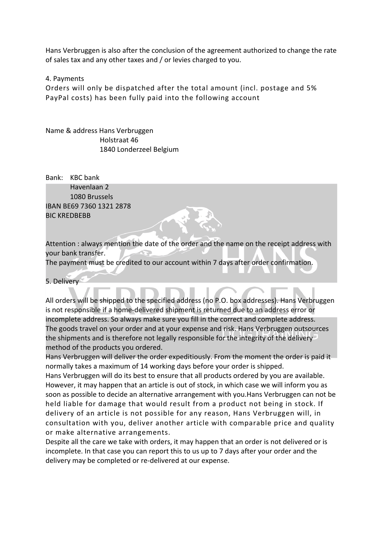Hans Verbruggen is also after the conclusion of the agreement authorized to change the rate of sales tax and any other taxes and / or levies charged to you.

#### 4. Payments

Orders will only be dispatched after the total amount (incl. postage and 5% PayPal costs) has been fully paid into the following account

Name & address Hans Verbruggen Holstraat 46 1840 Londerzeel Belgium

Bank: KBC bank Havenlaan 2 1080 Brussels IBAN BE69 7360 1321 2878 BIC KREDBEBB

Attention : always mention the date of the order and the name on the receipt address with your bank transfer.

The payment must be credited to our account within 7 days after order confirmation.

5. Delivery

All orders will be shipped to the specified address (no P.O. box addresses). Hans Verbruggen is not responsible if a home-delivered shipment is returned due to an address error or incomplete address. So always make sure you fill in the correct and complete address. The goods travel on your order and at your expense and risk. Hans Verbruggen outsources the shipments and is therefore not legally responsible for the integrity of the delivery method of the products you ordered.

Hans Verbruggen will deliver the order expeditiously. From the moment the order is paid it normally takes a maximum of 14 working days before your order is shipped.

Hans Verbruggen will do its best to ensure that all products ordered by you are available. However, it may happen that an article is out of stock, in which case we will inform you as soon as possible to decide an alternative arrangement with you.Hans Verbruggen can not be held liable for damage that would result from a product not being in stock. If delivery of an article is not possible for any reason, Hans Verbruggen will, in consultation with you, deliver another article with comparable price and quality or make alternative arrangements.

Despite all the care we take with orders, it may happen that an order is not delivered or is incomplete. In that case you can report this to us up to 7 days after your order and the delivery may be completed or re-delivered at our expense.